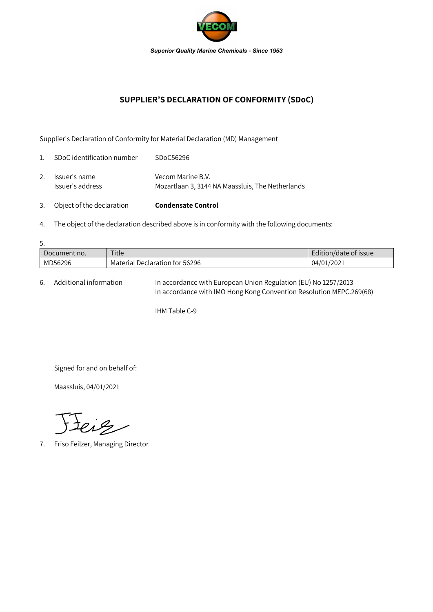

## **SUPPLIER'S DECLARATION OF CONFORMITY (SDoC)**

Supplier's Declaration of Conformity for Material Declaration (MD) Management

| 3.             | Object of the declaration         | <b>Condensate Control</b>                                             |
|----------------|-----------------------------------|-----------------------------------------------------------------------|
| 2.             | Issuer's name<br>Issuer's address | Vecom Marine B.V.<br>Mozartlaan 3, 3144 NA Maassluis, The Netherlands |
| $\mathbf{1}$ . | SDoC identification number        | SDoC56296                                                             |

4. The object of the declaration described above is in conformity with the following documents:

| 5.           |                                |                       |  |  |  |  |
|--------------|--------------------------------|-----------------------|--|--|--|--|
| Document no. | Title                          | Edition/date of issue |  |  |  |  |
| MD56296      | Material Declaration for 56296 | 04/01/2021            |  |  |  |  |

6. Additional information In accordance with European Union Regulation (EU) No 1257/2013 In accordance with IMO Hong Kong Convention Resolution MEPC.269(68)

IHM Table C-9

Signed for and on behalf of:

Maassluis, 04/01/2021

Jeig

7. Friso Feilzer, Managing Director